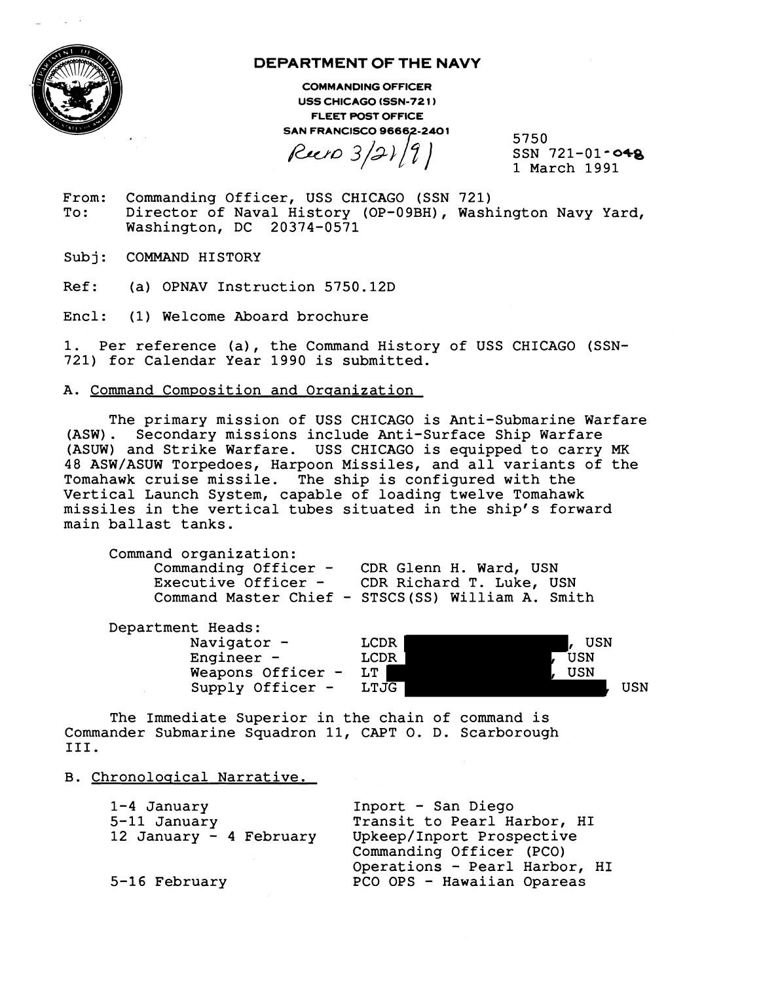

# **DEPARTMENT OF THE NAVY**

**COMMANDING OFFICER USS CHICAGO (SSN-721) FLEET POST OFFICE SAN FRANCISCO 96662-2401** 

 $Reen 3/21/9$ 

5750 SSN  $721-01 - 048$ 1 March 1991

- From: Commanding Officer, USS CHICAGO (SSN 721)<br>To: Director of Naval History (OP-09BH), Wash Director of Naval History (OP-09BH), Washington Navy Yard, Washington, DC 20374-0571
- Subj: COMMAND HISTORY
- Ref: (a) OPNAV Instruction 5750.12D
- Encl: (1) Welcome Aboard brochure

1. Per reference (a), the Command History of USS CHICAGO (SSN-721) for Calendar Year 1990 is submitted.

## A. Command Composition and Orqanization

The primary mission of USS CHICAGO is Anti-Submarine Warfare (ASW). Secondary missions include Anti-Surface Ship Warfare (ASUW) and Strike Warfare. USS CHICAGO is equipped to carry MK 48 ASW/ASUW Torpedoes, Harpoon Missiles, and all variants of the Tomahawk cruise missile. The ship is configured with the Vertical Launch System, capable of loading twelve Tomahawk missiles in the vertical tubes situated in the ship's forward main ballast tanks.

Command organization: Commanding Officer - CDR Glenn H. Ward, USN Executive Officer - CDR Richard T. Luke, USN Command Master Chief - STSCS(SS) William A. Smith

| Department Heads: |      |     |     |
|-------------------|------|-----|-----|
| Navigator -       | LCDR | USN |     |
| Engineer $-$      | LCDR | USN |     |
| Weapons Officer - | LT.  | USN |     |
| Supply Officer -  | LTJG |     | USN |

The Immediate Superior in the chain of command is Commander Submarine Squadron 11, CAPT 0. D. Scarborough 111.

#### B. Chronoloqical Narrative.

| $1-4$ January           | Inport - San Diego                                                                      |  |  |
|-------------------------|-----------------------------------------------------------------------------------------|--|--|
| 5-11 January            | Transit to Pearl Harbor, HI                                                             |  |  |
| 12 January - 4 February | Upkeep/Inport Prospective                                                               |  |  |
| 5-16 February           | Commanding Officer (PCO)<br>Operations - Pearl Harbor, HI<br>PCO OPS - Hawaiian Opareas |  |  |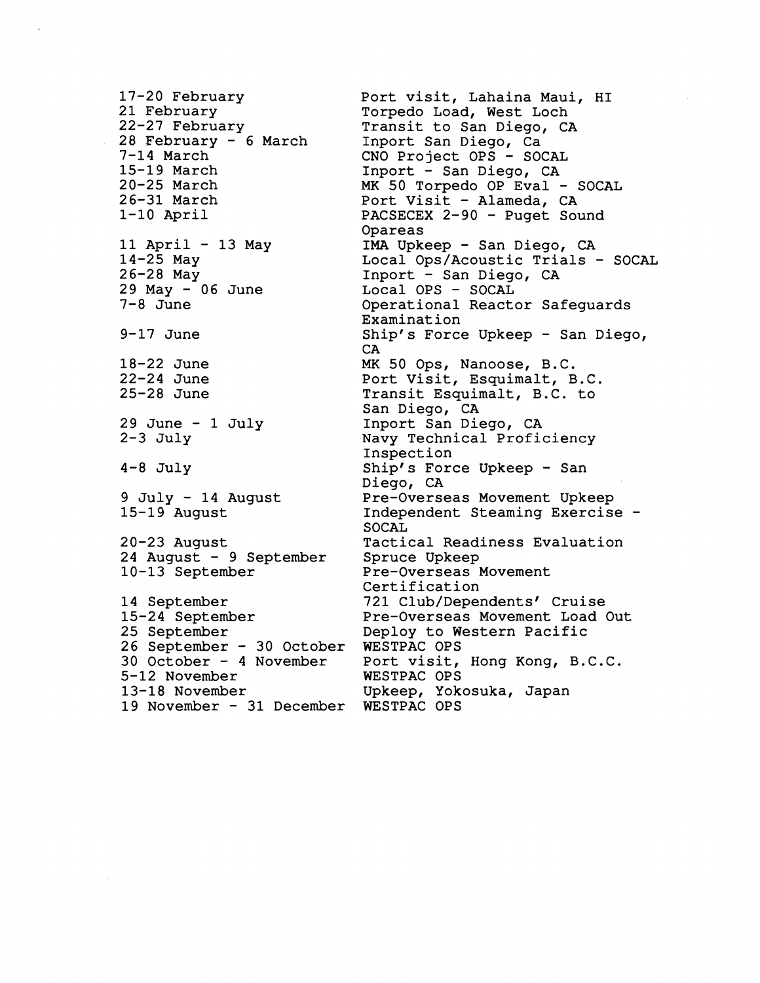17-20 February 21 February 22-27 February 28 February - 6 March 7-14 March 15-19 March 20-25 March 26-31 March 1-10 April 11 April - 13 May 14-25 May 26-28 May 29 May - 06 June zə may - 1<br>7-8 June 9-17 June 18-22 June 22-24 June 25-28 June 29 June - 1 July  $2-3$  July 4-8 July 9 July - 14 August 15-19 August 20-23 August 24 August - 9 September 10-13 September 14 September 15-24 September 25 September zs september<br>26 September – 30 October 30 October - 4 November 5-12 November 13-18 November 19 November - 31 December WESTPAC OPS CA

Port visit, Lahaina Maui, HI Torpedo Load, West Loch Transit to San Diego, CA Inport San Diego, Ca CNO Project OPS - SOCAL Inport - San Diego, CA MK 50 Torpedo OP Eval - SOCAL Port Visit - Alameda, CA PACSECEX 2-90 - Puget Sound Opareas **IMA** Upkeep - San Diego, CA Local Ops/Acoustic Trials - SOCAL Local Ops/Acoustic Tria<br>Inport - San Diego, CA Local OPS - SOCAL Operational Reactor Safeguards Examinat ion Ship's Force Upkeep - San Diego, **MK** 50 Ops, Nanoose, B.C. Port Visit, Esquimalt, B.C. Transit Esquimalt, B.C. to San Diego, CA Inport San Diego, CA Navy Technical Proficiency Inspection Ship's Force Upkeep - San Diego, CA Pre-Overseas Movement Upkeep Independent Steaming Exercise - SOCAL Tactical Readiness Evaluation Spruce Upkeep Pre-Overseas Movement Certification 721 Club/Dependents' Cruise Pre-Overseas Movement Load Out Deploy to Western Pacific WESTPAC OPS Port visit, Hong Kong, B.C.C. WESTPAC OPS Upkeep, Yokosuka, Japan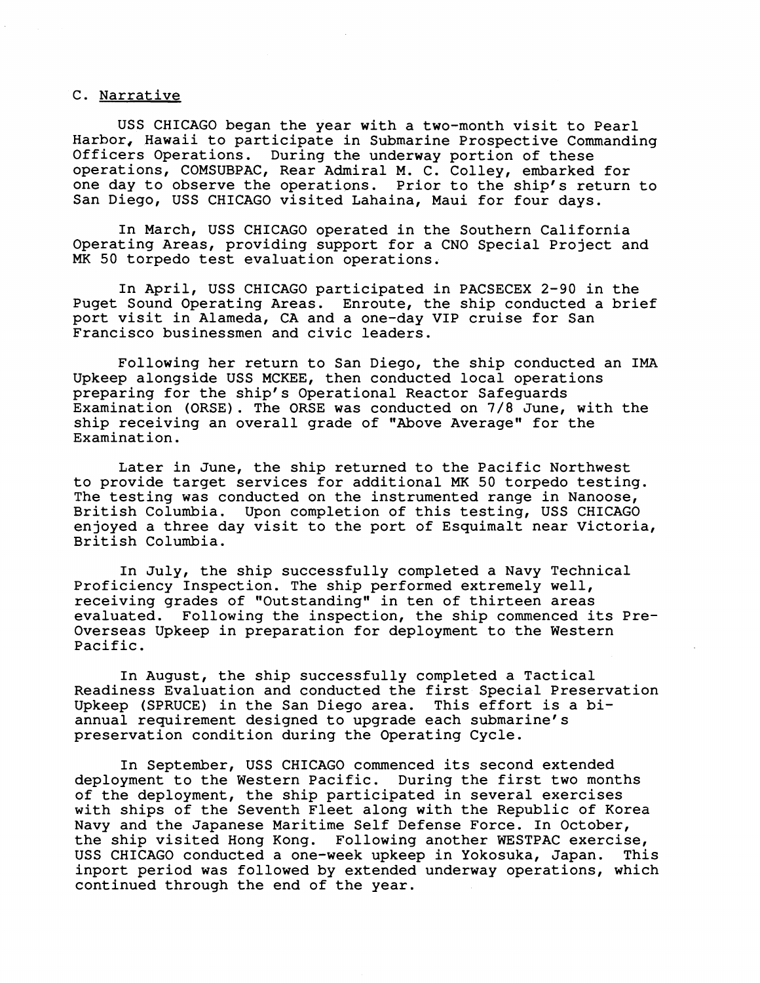## C. Narrative

USS CHICAGO began the year with a two-month visit to Pearl Harbor, Hawaii to participate in Submarine Prospective Commanding Officers Operations. During the underway portion of these operations, COMSUBPAC, Rear Admiral M. C. Colley, embarked for one day to observe the operations. Prior to the ship's return to San Diego, USS CHICAGO visited Lahaina, Maui for four days.

In March, USS CHICAGO operated in the Southern California Operating Areas, providing support for a CNO Special Project and MK 50 torpedo test evaluation operations.

In April, USS CHICAGO participated in PACSECEX 2-90 in the Puget Sound Operating Areas. Enroute, the ship conducted a brief port visit in Alameda, CA and a one-day VIP cruise for San Francisco businessmen and civic leaders.

Following her return to San Diego, the ship conducted an IMA Upkeep alongside USS MCKEE, then conducted local operations preparing for the ship's Operational Reactor Safeguards Examination (ORSE). The ORSE was conducted on 7/8 June, with the ship receiving an overall grade of "Above Average" for the Examination.

Later in June, the ship returned to the Pacific Northwest to provide target services for additional **MK** 50 torpedo testing. The testing was conducted on the instrumented range in Nanoose,<br>British Columbia. Upon completion of this testing, USS CHICAGO Upon completion of this testing, USS CHICAGO enjoyed a three day visit to the port of Esquimalt near Victoria, British Columbia.

In July, the ship successfully completed a Navy Technical Proficiency Inspection. The ship performed extremely well, receiving grades of "Outstanding" in ten of thirteen areas evaluated. Following the inspection, the ship commenced its Pre-Overseas Upkeep in preparation for deployment to the Western Pacific.

In August, the ship successfully completed a Tactical Readiness Evaluation and conducted the first Special Preservation Upkeep (SPRUCE) in the San Diego area. This effort is a biannual requirement designed to upgrade each submarine's preservation condition during the Operating Cycle.

In September, USS CHICAGO commenced its second extended deployment to the Western Pacific. During the first two months of the deployment, the ship participated in several exercises with ships of the Seventh Fleet along with the Republic of Korea Navy and the Japanese Maritime Self Defense Force. In October, the ship visited Hong Kong. Following another WESTPAC exercise, USS CHICAGO conducted a one-week upkeep in Yokosuka, Japan. This inport period was followed by extended underway operations, which continued through the end of the year.